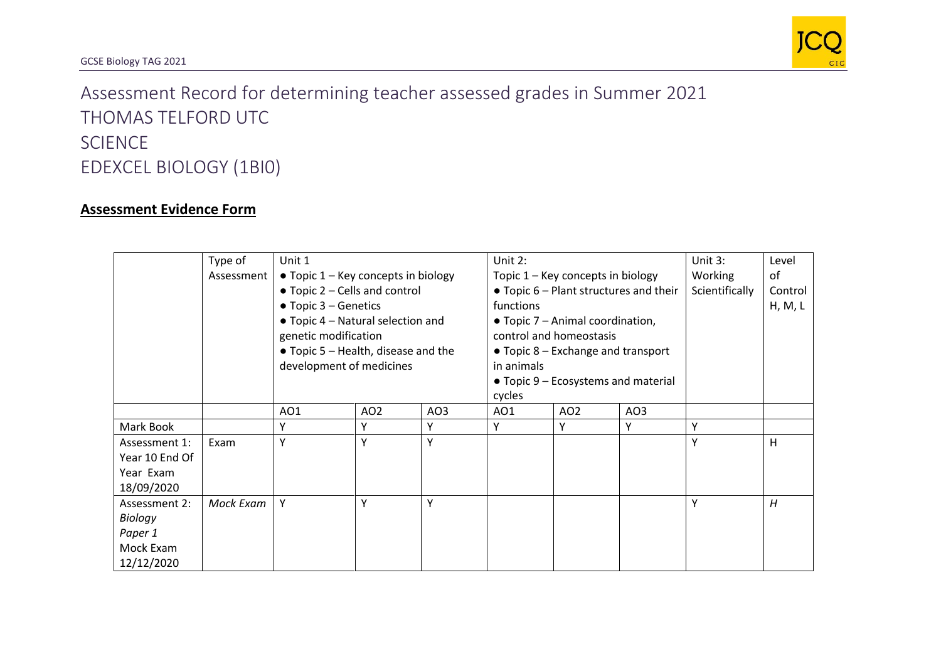

## Assessment Record for determining teacher assessed grades in Summer 2021 THOMAS TELFORD UTC **SCIENCE** EDEXCEL BIOLOGY (1BI0)

## **Assessment Evidence Form**

|                                                                | Type of<br>Assessment | Unit 1<br>$\bullet$ Topic 1 – Key concepts in biology<br>• Topic 2 – Cells and control<br>$\bullet$ Topic 3 – Genetics<br>• Topic 4 – Natural selection and<br>genetic modification<br>• Topic 5 – Health, disease and the<br>development of medicines |                 | Unit 2:<br>Topic 1 - Key concepts in biology<br>$\bullet$ Topic 6 – Plant structures and their<br>functions<br>• Topic 7 – Animal coordination,<br>control and homeostasis<br>$\bullet$ Topic 8 – Exchange and transport<br>in animals<br>• Topic 9 – Ecosystems and material<br>cycles |                 |                 | Unit $3:$<br>Working<br>Scientifically | Level<br>of<br>Control<br>H, M, L |   |
|----------------------------------------------------------------|-----------------------|--------------------------------------------------------------------------------------------------------------------------------------------------------------------------------------------------------------------------------------------------------|-----------------|-----------------------------------------------------------------------------------------------------------------------------------------------------------------------------------------------------------------------------------------------------------------------------------------|-----------------|-----------------|----------------------------------------|-----------------------------------|---|
|                                                                |                       | A01                                                                                                                                                                                                                                                    | AO <sub>2</sub> | AO3                                                                                                                                                                                                                                                                                     | AO <sub>1</sub> | AO <sub>2</sub> | AO3                                    |                                   |   |
| Mark Book                                                      |                       | γ                                                                                                                                                                                                                                                      | Y               | Υ                                                                                                                                                                                                                                                                                       | Υ               | Y               | γ                                      | Υ                                 |   |
| Assessment 1:<br>Year 10 End Of<br>Year Exam<br>18/09/2020     | Exam                  | Υ                                                                                                                                                                                                                                                      | Y               | Y                                                                                                                                                                                                                                                                                       |                 |                 |                                        | Υ                                 | H |
| Assessment 2:<br>Biology<br>Paper 1<br>Mock Exam<br>12/12/2020 | Mock Exam             | Y                                                                                                                                                                                                                                                      | Y               | Y                                                                                                                                                                                                                                                                                       |                 |                 |                                        | Υ                                 | H |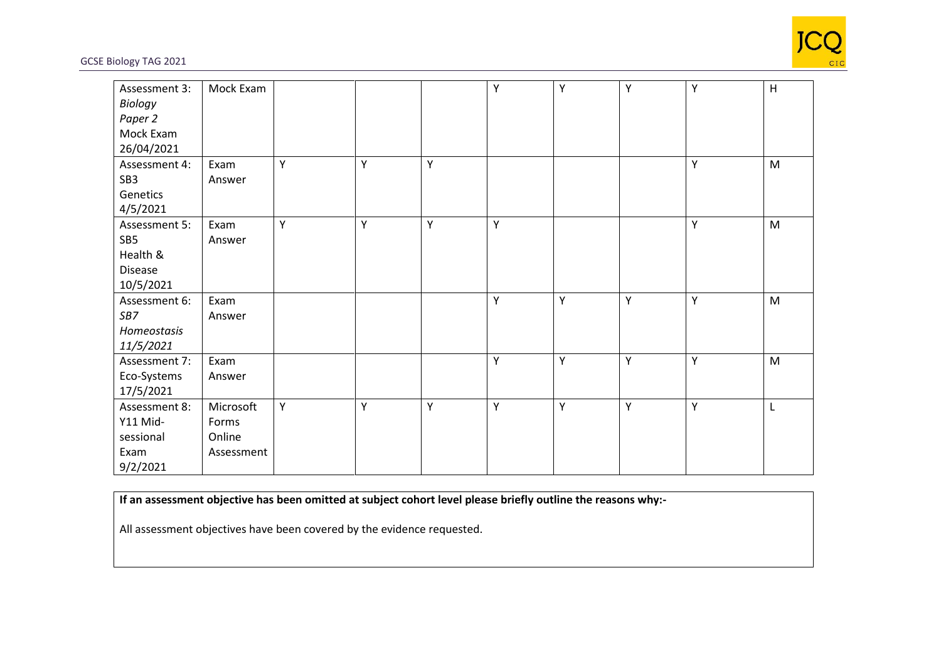

## GCSE Biology TAG 2021

| Assessment 3:   | Mock Exam  |   |   |   | Υ | Υ | Υ | Υ | H         |
|-----------------|------------|---|---|---|---|---|---|---|-----------|
| Biology         |            |   |   |   |   |   |   |   |           |
| Paper 2         |            |   |   |   |   |   |   |   |           |
| Mock Exam       |            |   |   |   |   |   |   |   |           |
| 26/04/2021      |            |   |   |   |   |   |   |   |           |
| Assessment 4:   | Exam       | Υ | Y | Υ |   |   |   | Υ | M         |
| SB <sub>3</sub> | Answer     |   |   |   |   |   |   |   |           |
| Genetics        |            |   |   |   |   |   |   |   |           |
| 4/5/2021        |            |   |   |   |   |   |   |   |           |
| Assessment 5:   | Exam       | Υ | Y | Y | Y |   |   | Υ | M         |
| SB5             | Answer     |   |   |   |   |   |   |   |           |
| Health &        |            |   |   |   |   |   |   |   |           |
| <b>Disease</b>  |            |   |   |   |   |   |   |   |           |
| 10/5/2021       |            |   |   |   |   |   |   |   |           |
| Assessment 6:   | Exam       |   |   |   | Υ | Υ | Υ | Υ | M         |
| SB7             | Answer     |   |   |   |   |   |   |   |           |
| Homeostasis     |            |   |   |   |   |   |   |   |           |
| 11/5/2021       |            |   |   |   |   |   |   |   |           |
| Assessment 7:   | Exam       |   |   |   | Y | Y | Y | Υ | ${\sf M}$ |
| Eco-Systems     | Answer     |   |   |   |   |   |   |   |           |
| 17/5/2021       |            |   |   |   |   |   |   |   |           |
| Assessment 8:   | Microsoft  | Υ | Υ | Υ | Υ | Y | Υ | Υ | L         |
| Y11 Mid-        | Forms      |   |   |   |   |   |   |   |           |
| sessional       | Online     |   |   |   |   |   |   |   |           |
| Exam            | Assessment |   |   |   |   |   |   |   |           |
| 9/2/2021        |            |   |   |   |   |   |   |   |           |

## **If an assessment objective has been omitted at subject cohort level please briefly outline the reasons why:-**

All assessment objectives have been covered by the evidence requested.